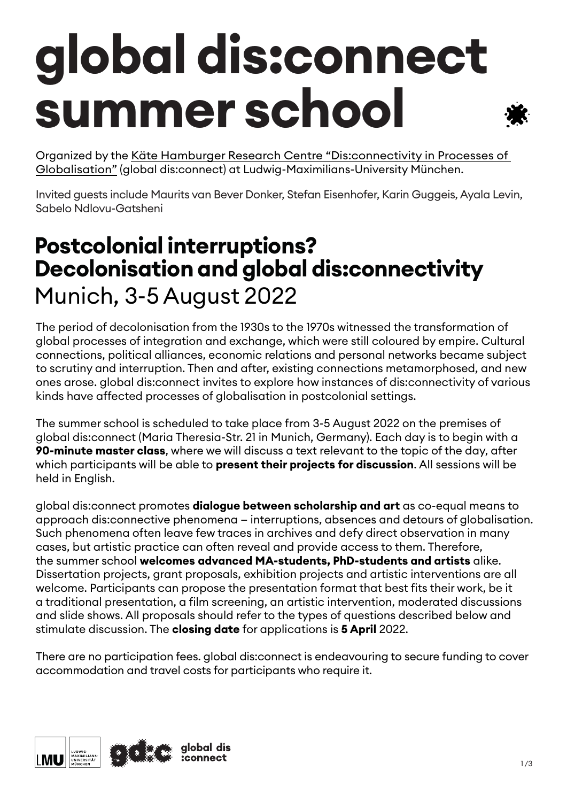## **global dis:connect summer school**

Organized by the [Käte Hamburger Research Centre "Dis:connectivity in Processes of](http://www.globaldisconnect.org)  [Globalisation"](http://www.globaldisconnect.org) (global dis:connect) at Ludwig-Maximilians-University München.

Invited guests include Maurits van Bever Donker, Stefan Eisenhofer, Karin Guggeis, Ayala Levin, Sabelo Ndlovu-Gatsheni

### **Postcolonial interruptions? Decolonisation and global dis:connectivity** Munich, 3-5 August 2022

The period of decolonisation from the 1930s to the 1970s witnessed the transformation of global processes of integration and exchange, which were still coloured by empire. Cultural connections, political alliances, economic relations and personal networks became subject to scrutiny and interruption. Then and after, existing connections metamorphosed, and new ones arose. global dis:connect invites to explore how instances of dis:connectivity of various kinds have affected processes of globalisation in postcolonial settings.

The summer school is scheduled to take place from 3-5 August 2022 on the premises of global dis:connect (Maria Theresia-Str. 21 in Munich, Germany). Each day is to begin with a **90-minute master class**, where we will discuss a text relevant to the topic of the day, after which participants will be able to **present their projects for discussion**. All sessions will be held in English.

global dis:connect promotes **dialogue between scholarship and art** as co-equal means to approach dis:connective phenomena — interruptions, absences and detours of globalisation. Such phenomena often leave few traces in archives and defy direct observation in many cases, but artistic practice can often reveal and provide access to them. Therefore, the summer school **welcomes advanced MA-students, PhD-students and artists** alike. Dissertation projects, grant proposals, exhibition projects and artistic interventions are all welcome. Participants can propose the presentation format that best fits their work, be it a traditional presentation, a film screening, an artistic intervention, moderated discussions and slide shows. All proposals should refer to the types of questions described below and stimulate discussion. The **closing date** for applications is **5 April** 2022.

There are no participation fees. global dis:connect is endeavouring to secure funding to cover accommodation and travel costs for participants who require it.

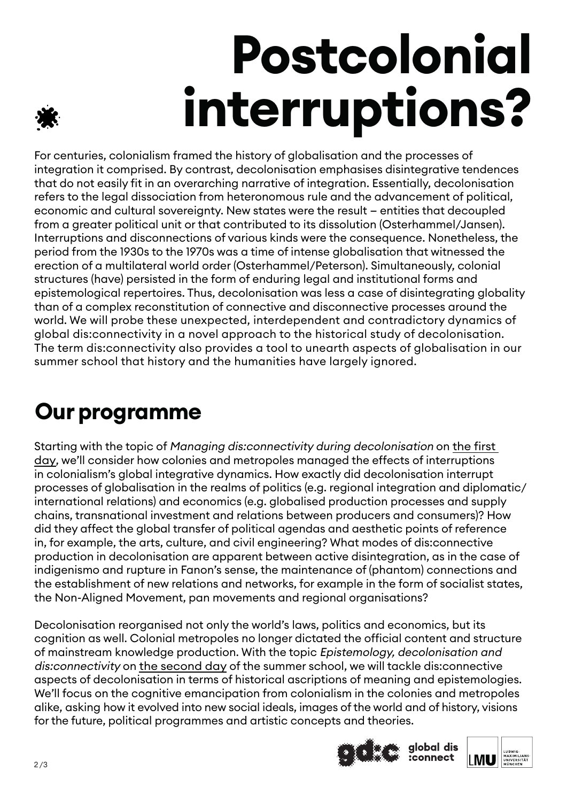# **Postcolonial interruptions?**

For centuries, colonialism framed the history of globalisation and the processes of integration it comprised. By contrast, decolonisation emphasises disintegrative tendences that do not easily fit in an overarching narrative of integration. Essentially, decolonisation refers to the legal dissociation from heteronomous rule and the advancement of political, economic and cultural sovereignty. New states were the result — entities that decoupled from a greater political unit or that contributed to its dissolution (Osterhammel/Jansen). Interruptions and disconnections of various kinds were the consequence. Nonetheless, the period from the 1930s to the 1970s was a time of intense globalisation that witnessed the erection of a multilateral world order (Osterhammel/Peterson). Simultaneously, colonial structures (have) persisted in the form of enduring legal and institutional forms and epistemological repertoires. Thus, decolonisation was less a case of disintegrating globality than of a complex reconstitution of connective and disconnective processes around the world. We will probe these unexpected, interdependent and contradictory dynamics of global dis:connectivity in a novel approach to the historical study of decolonisation. The term dis:connectivity also provides a tool to unearth aspects of globalisation in our summer school that history and the humanities have largely ignored.

### **Our programme**

Starting with the topic of Managing dis:connectivity during decolonisation on the first day, we'll consider how colonies and metropoles managed the effects of interruptions in colonialism's global integrative dynamics. How exactly did decolonisation interrupt processes of globalisation in the realms of politics (e.g. regional integration and diplomatic/ international relations) and economics (e.g. globalised production processes and supply chains, transnational investment and relations between producers and consumers)? How did they affect the global transfer of political agendas and aesthetic points of reference in, for example, the arts, culture, and civil engineering? What modes of dis:connective production in decolonisation are apparent between active disintegration, as in the case of indigenismo and rupture in Fanon's sense, the maintenance of (phantom) connections and the establishment of new relations and networks, for example in the form of socialist states, the Non-Aligned Movement, pan movements and regional organisations?

Decolonisation reorganised not only the world's laws, politics and economics, but its cognition as well. Colonial metropoles no longer dictated the official content and structure of mainstream knowledge production. With the topic Epistemology, decolonisation and dis:connectivity on the second day of the summer school, we will tackle dis:connective aspects of decolonisation in terms of historical ascriptions of meaning and epistemologies. We'll focus on the cognitive emancipation from colonialism in the colonies and metropoles alike, asking how it evolved into new social ideals, images of the world and of history, visions for the future, political programmes and artistic concepts and theories.



global dis<br>:connect